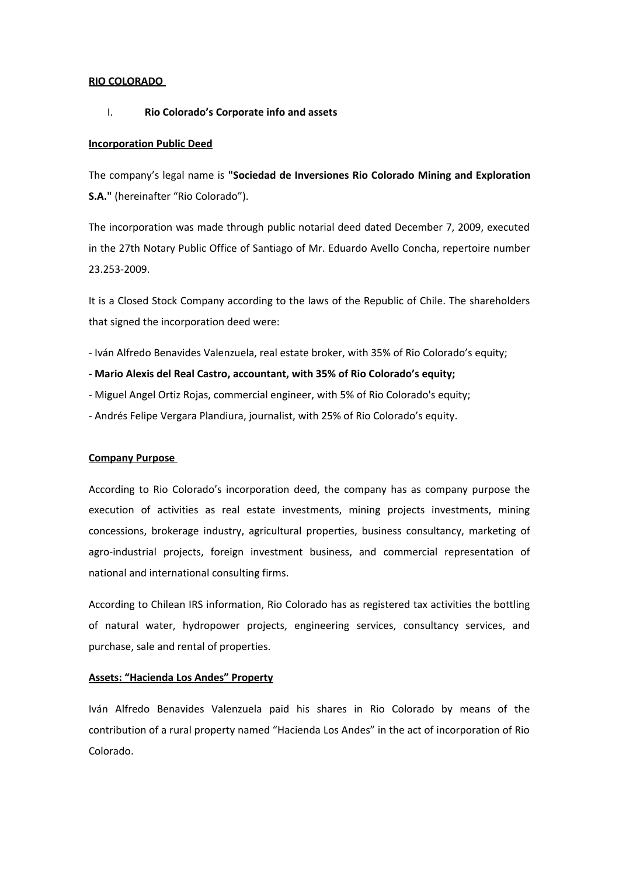### **RIO COLORADO**

### I. **Rio Colorado's Corporate info and assets**

#### **Incorporation Public Deed**

The company's legal name is **"Sociedad de Inversiones Rio Colorado Mining and Exploration S.A."** (hereinafter "Rio Colorado").

The incorporation was made through public notarial deed dated December 7, 2009, executed in the 27th Notary Public Office of Santiago of Mr. Eduardo Avello Concha, repertoire number 23.253-2009.

It is a Closed Stock Company according to the laws of the Republic of Chile. The shareholders that signed the incorporation deed were:

- Iván Alfredo Benavides Valenzuela, real estate broker, with 35% of Rio Colorado's equity;

### **- Mario Alexis del Real Castro, accountant, with 35% of Rio Colorado's equity;**

- Miguel Angel Ortiz Rojas, commercial engineer, with 5% of Rio Colorado's equity;
- Andrés Felipe Vergara Plandiura, journalist, with 25% of Rio Colorado's equity.

#### **Company Purpose**

According to Rio Colorado's incorporation deed, the company has as company purpose the execution of activities as real estate investments, mining projects investments, mining concessions, brokerage industry, agricultural properties, business consultancy, marketing of agro-industrial projects, foreign investment business, and commercial representation of national and international consulting firms.

According to Chilean IRS information, Rio Colorado has as registered tax activities the bottling of natural water, hydropower projects, engineering services, consultancy services, and purchase, sale and rental of properties.

#### **Assets: "Hacienda Los Andes" Property**

Iván Alfredo Benavides Valenzuela paid his shares in Rio Colorado by means of the contribution of a rural property named "Hacienda Los Andes" in the act of incorporation of Rio Colorado.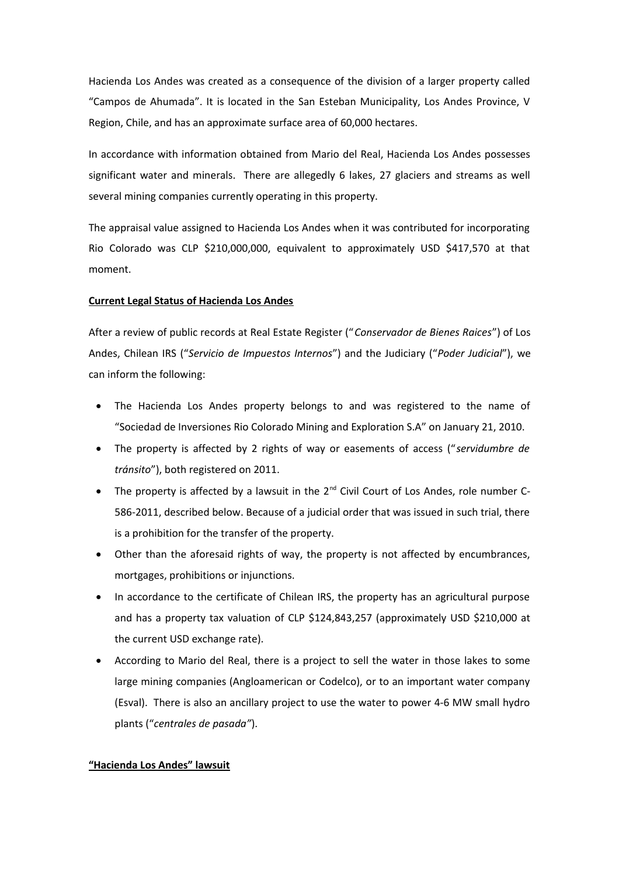Hacienda Los Andes was created as a consequence of the division of a larger property called "Campos de Ahumada". It is located in the San Esteban Municipality, Los Andes Province, V Region, Chile, and has an approximate surface area of 60,000 hectares.

In accordance with information obtained from Mario del Real, Hacienda Los Andes possesses significant water and minerals. There are allegedly 6 lakes, 27 glaciers and streams as well several mining companies currently operating in this property.

The appraisal value assigned to Hacienda Los Andes when it was contributed for incorporating Rio Colorado was CLP \$210,000,000, equivalent to approximately USD \$417,570 at that moment.

## **Current Legal Status of Hacienda Los Andes**

After a review of public records at Real Estate Register ("*Conservador de Bienes Raices*") of Los Andes, Chilean IRS ("*Servicio de Impuestos Internos*") and the Judiciary ("*Poder Judicial*"), we can inform the following:

- The Hacienda Los Andes property belongs to and was registered to the name of "Sociedad de Inversiones Rio Colorado Mining and Exploration S.A" on January 21, 2010.
- The property is affected by 2 rights of way or easements of access ("*servidumbre de tránsito*"), both registered on 2011.
- The property is affected by a lawsuit in the  $2^{nd}$  Civil Court of Los Andes, role number C-586-2011, described below. Because of a judicial order that was issued in such trial, there is a prohibition for the transfer of the property.
- Other than the aforesaid rights of way, the property is not affected by encumbrances, mortgages, prohibitions or injunctions.
- In accordance to the certificate of Chilean IRS, the property has an agricultural purpose and has a property tax valuation of CLP \$124,843,257 (approximately USD \$210,000 at the current USD exchange rate).
- According to Mario del Real, there is a project to sell the water in those lakes to some large mining companies (Angloamerican or Codelco), or to an important water company (Esval). There is also an ancillary project to use the water to power 4-6 MW small hydro plants ("*centrales de pasada"*).

## **"Hacienda Los Andes" lawsuit**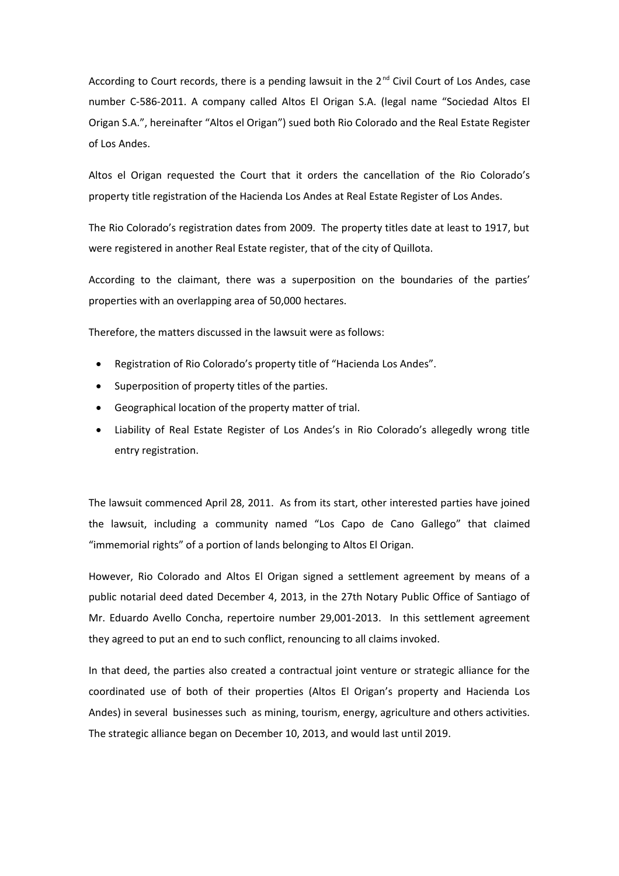According to Court records, there is a pending lawsuit in the  $2<sup>nd</sup>$  Civil Court of Los Andes, case number C-586-2011. A company called Altos El Origan S.A. (legal name "Sociedad Altos El Origan S.A.", hereinafter "Altos el Origan") sued both Rio Colorado and the Real Estate Register of Los Andes.

Altos el Origan requested the Court that it orders the cancellation of the Rio Colorado's property title registration of the Hacienda Los Andes at Real Estate Register of Los Andes.

The Rio Colorado's registration dates from 2009. The property titles date at least to 1917, but were registered in another Real Estate register, that of the city of Quillota.

According to the claimant, there was a superposition on the boundaries of the parties' properties with an overlapping area of 50,000 hectares.

Therefore, the matters discussed in the lawsuit were as follows:

- Registration of Rio Colorado's property title of "Hacienda Los Andes".
- Superposition of property titles of the parties.
- Geographical location of the property matter of trial.
- Liability of Real Estate Register of Los Andes's in Rio Colorado's allegedly wrong title entry registration.

The lawsuit commenced April 28, 2011. As from its start, other interested parties have joined the lawsuit, including a community named "Los Capo de Cano Gallego" that claimed "immemorial rights" of a portion of lands belonging to Altos El Origan.

However, Rio Colorado and Altos El Origan signed a settlement agreement by means of a public notarial deed dated December 4, 2013, in the 27th Notary Public Office of Santiago of Mr. Eduardo Avello Concha, repertoire number 29,001-2013. In this settlement agreement they agreed to put an end to such conflict, renouncing to all claims invoked.

In that deed, the parties also created a contractual joint venture or strategic alliance for the coordinated use of both of their properties (Altos El Origan's property and Hacienda Los Andes) in several businesses such as mining, tourism, energy, agriculture and others activities. The strategic alliance began on December 10, 2013, and would last until 2019.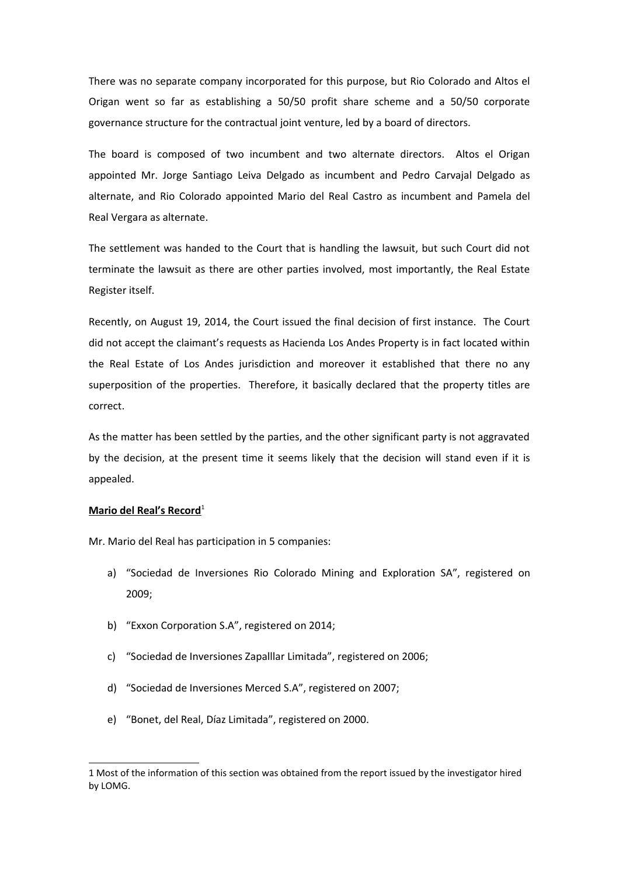There was no separate company incorporated for this purpose, but Rio Colorado and Altos el Origan went so far as establishing a 50/50 profit share scheme and a 50/50 corporate governance structure for the contractual joint venture, led by a board of directors.

The board is composed of two incumbent and two alternate directors. Altos el Origan appointed Mr. Jorge Santiago Leiva Delgado as incumbent and Pedro Carvajal Delgado as alternate, and Rio Colorado appointed Mario del Real Castro as incumbent and Pamela del Real Vergara as alternate.

The settlement was handed to the Court that is handling the lawsuit, but such Court did not terminate the lawsuit as there are other parties involved, most importantly, the Real Estate Register itself.

Recently, on August 19, 2014, the Court issued the final decision of first instance. The Court did not accept the claimant's requests as Hacienda Los Andes Property is in fact located within the Real Estate of Los Andes jurisdiction and moreover it established that there no any superposition of the properties. Therefore, it basically declared that the property titles are correct.

As the matter has been settled by the parties, and the other significant party is not aggravated by the decision, at the present time it seems likely that the decision will stand even if it is appealed.

#### **Mario del Real's Record**<sup>[1](#page-3-0)</sup>

Mr. Mario del Real has participation in 5 companies:

- a) "Sociedad de Inversiones Rio Colorado Mining and Exploration SA", registered on 2009;
- b) "Exxon Corporation S.A", registered on 2014;
- c) "Sociedad de Inversiones Zapalllar Limitada", registered on 2006;
- d) "Sociedad de Inversiones Merced S.A", registered on 2007;
- e) "Bonet, del Real, Díaz Limitada", registered on 2000.

<span id="page-3-0"></span><sup>1</sup> Most of the information of this section was obtained from the report issued by the investigator hired by LOMG.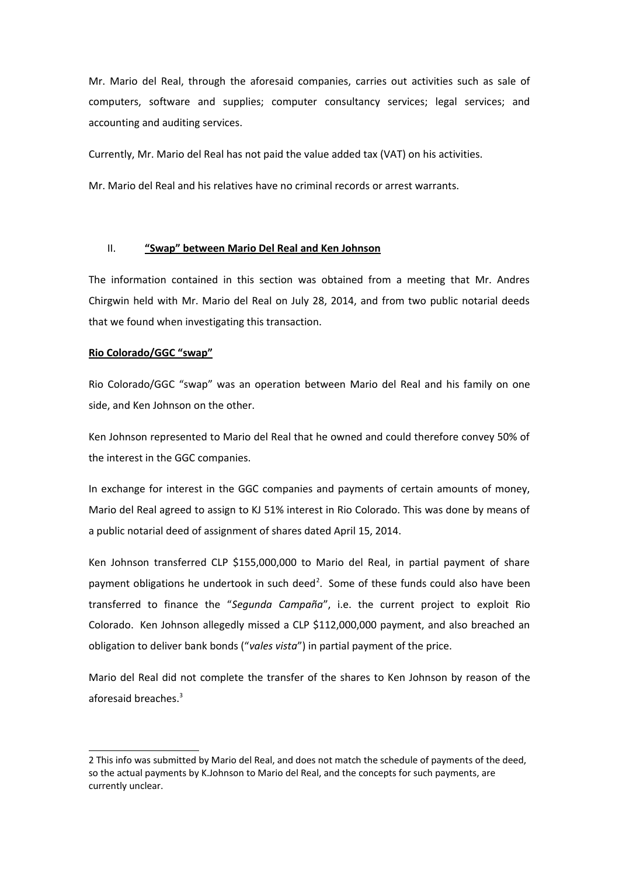Mr. Mario del Real, through the aforesaid companies, carries out activities such as sale of computers, software and supplies; computer consultancy services; legal services; and accounting and auditing services.

Currently, Mr. Mario del Real has not paid the value added tax (VAT) on his activities.

Mr. Mario del Real and his relatives have no criminal records or arrest warrants.

# II. **"Swap" between Mario Del Real and Ken Johnson**

The information contained in this section was obtained from a meeting that Mr. Andres Chirgwin held with Mr. Mario del Real on July 28, 2014, and from two public notarial deeds that we found when investigating this transaction.

# **Rio Colorado/GGC "swap"**

Rio Colorado/GGC "swap" was an operation between Mario del Real and his family on one side, and Ken Johnson on the other.

Ken Johnson represented to Mario del Real that he owned and could therefore convey 50% of the interest in the GGC companies.

In exchange for interest in the GGC companies and payments of certain amounts of money, Mario del Real agreed to assign to KJ 51% interest in Rio Colorado. This was done by means of a public notarial deed of assignment of shares dated April 15, 2014.

Ken Johnson transferred CLP \$155,000,000 to Mario del Real, in partial payment of share payment obligations he undertook in such deed<sup>[2](#page-4-0)</sup>. Some of these funds could also have been transferred to finance the "*Segunda Campaña*", i.e. the current project to exploit Rio Colorado. Ken Johnson allegedly missed a CLP \$112,000,000 payment, and also breached an obligation to deliver bank bonds ("*vales vista*") in partial payment of the price.

Mario del Real did not complete the transfer of the shares to Ken Johnson by reason of the aforesaid breaches.<sup>[3](#page-5-0)</sup>

<span id="page-4-0"></span><sup>2</sup> This info was submitted by Mario del Real, and does not match the schedule of payments of the deed, so the actual payments by K.Johnson to Mario del Real, and the concepts for such payments, are currently unclear.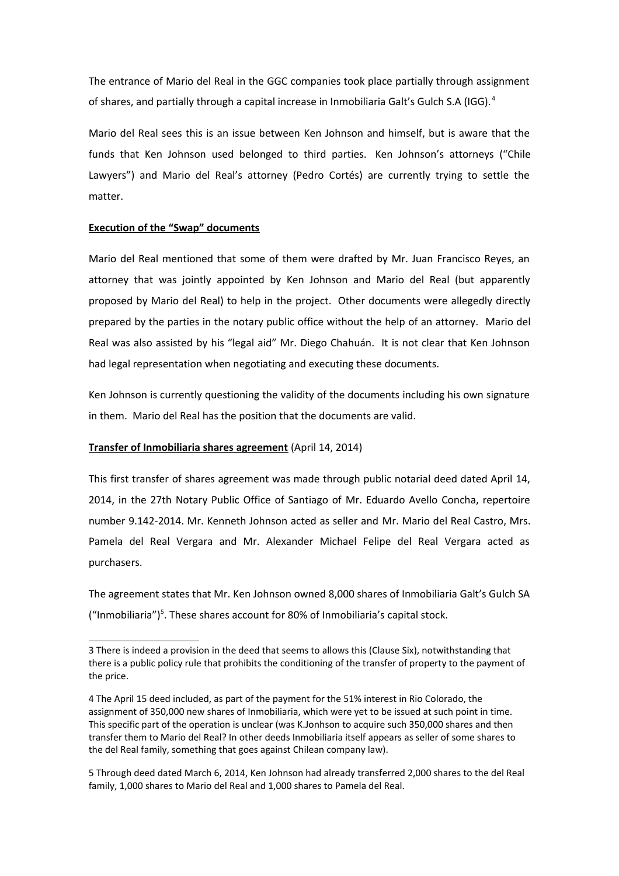The entrance of Mario del Real in the GGC companies took place partially through assignment of shares, and partially through a capital increase in Inmobiliaria Galt's Gulch S.A (IGG). [4](#page-5-1)

Mario del Real sees this is an issue between Ken Johnson and himself, but is aware that the funds that Ken Johnson used belonged to third parties. Ken Johnson's attorneys ("Chile Lawyers") and Mario del Real's attorney (Pedro Cortés) are currently trying to settle the matter.

## **Execution of the "Swap" documents**

Mario del Real mentioned that some of them were drafted by Mr. Juan Francisco Reyes, an attorney that was jointly appointed by Ken Johnson and Mario del Real (but apparently proposed by Mario del Real) to help in the project. Other documents were allegedly directly prepared by the parties in the notary public office without the help of an attorney. Mario del Real was also assisted by his "legal aid" Mr. Diego Chahuán. It is not clear that Ken Johnson had legal representation when negotiating and executing these documents.

Ken Johnson is currently questioning the validity of the documents including his own signature in them. Mario del Real has the position that the documents are valid.

## **Transfer of Inmobiliaria shares agreement** (April 14, 2014)

This first transfer of shares agreement was made through public notarial deed dated April 14, 2014, in the 27th Notary Public Office of Santiago of Mr. Eduardo Avello Concha, repertoire number 9.142-2014. Mr. Kenneth Johnson acted as seller and Mr. Mario del Real Castro, Mrs. Pamela del Real Vergara and Mr. Alexander Michael Felipe del Real Vergara acted as purchasers.

The agreement states that Mr. Ken Johnson owned 8,000 shares of Inmobiliaria Galt's Gulch SA ("Inmobiliaria")<sup>[5](#page-5-2)</sup>. These shares account for 80% of Inmobiliaria's capital stock.

<span id="page-5-0"></span><sup>3</sup> There is indeed a provision in the deed that seems to allows this (Clause Six), notwithstanding that there is a public policy rule that prohibits the conditioning of the transfer of property to the payment of the price.

<span id="page-5-1"></span><sup>4</sup> The April 15 deed included, as part of the payment for the 51% interest in Rio Colorado, the assignment of 350,000 new shares of Inmobiliaria, which were yet to be issued at such point in time. This specific part of the operation is unclear (was K.Jonhson to acquire such 350,000 shares and then transfer them to Mario del Real? In other deeds Inmobiliaria itself appears as seller of some shares to the del Real family, something that goes against Chilean company law).

<span id="page-5-2"></span><sup>5</sup> Through deed dated March 6, 2014, Ken Johnson had already transferred 2,000 shares to the del Real family, 1,000 shares to Mario del Real and 1,000 shares to Pamela del Real.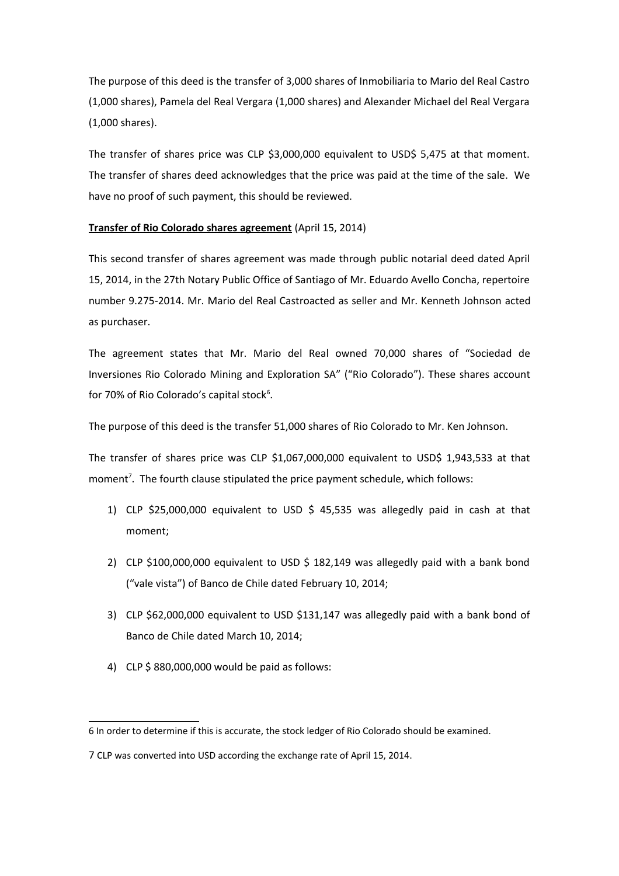The purpose of this deed is the transfer of 3,000 shares of Inmobiliaria to Mario del Real Castro (1,000 shares), Pamela del Real Vergara (1,000 shares) and Alexander Michael del Real Vergara (1,000 shares).

The transfer of shares price was CLP \$3,000,000 equivalent to USD\$ 5,475 at that moment. The transfer of shares deed acknowledges that the price was paid at the time of the sale. We have no proof of such payment, this should be reviewed.

## **Transfer of Rio Colorado shares agreement** (April 15, 2014)

This second transfer of shares agreement was made through public notarial deed dated April 15, 2014, in the 27th Notary Public Office of Santiago of Mr. Eduardo Avello Concha, repertoire number 9.275-2014. Mr. Mario del Real Castroacted as seller and Mr. Kenneth Johnson acted as purchaser.

The agreement states that Mr. Mario del Real owned 70,000 shares of "Sociedad de Inversiones Rio Colorado Mining and Exploration SA" ("Rio Colorado"). These shares account for 70% of Rio Colorado's capital stock<sup>[6](#page-6-0)</sup>.

The purpose of this deed is the transfer 51,000 shares of Rio Colorado to Mr. Ken Johnson.

The transfer of shares price was CLP \$1,067,000,000 equivalent to USD\$ 1,943,533 at that moment<sup>[7](#page-6-1)</sup>. The fourth clause stipulated the price payment schedule, which follows:

- 1) CLP \$25,000,000 equivalent to USD \$ 45,535 was allegedly paid in cash at that moment;
- 2) CLP \$100,000,000 equivalent to USD \$ 182,149 was allegedly paid with a bank bond ("vale vista") of Banco de Chile dated February 10, 2014;
- 3) CLP \$62,000,000 equivalent to USD \$131,147 was allegedly paid with a bank bond of Banco de Chile dated March 10, 2014;
- 4) CLP \$ 880,000,000 would be paid as follows:

<span id="page-6-0"></span><sup>6</sup> In order to determine if this is accurate, the stock ledger of Rio Colorado should be examined.

<span id="page-6-1"></span><sup>7</sup> CLP was converted into USD according the exchange rate of April 15, 2014.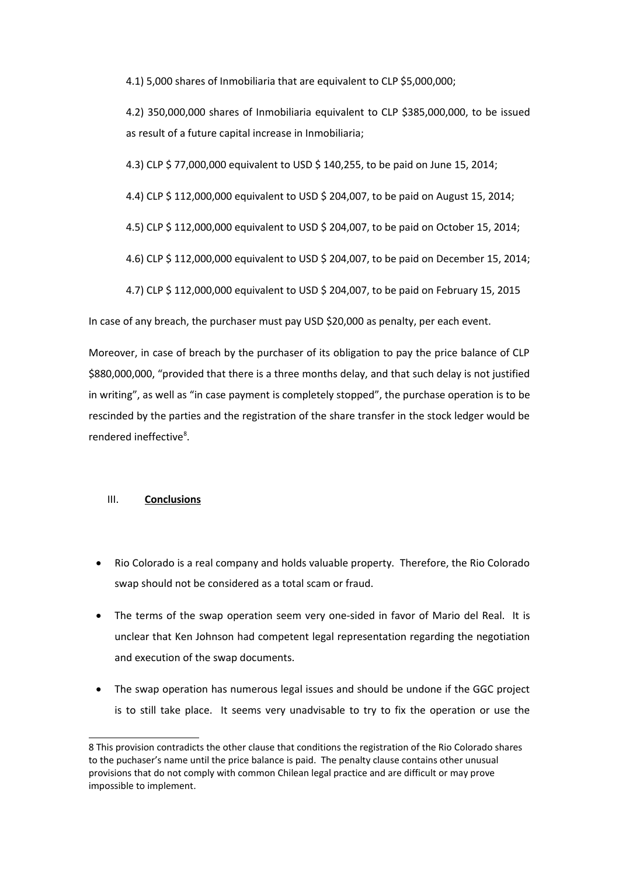4.1) 5,000 shares of Inmobiliaria that are equivalent to CLP \$5,000,000;

4.2) 350,000,000 shares of Inmobiliaria equivalent to CLP \$385,000,000, to be issued as result of a future capital increase in Inmobiliaria;

4.3) CLP \$ 77,000,000 equivalent to USD \$ 140,255, to be paid on June 15, 2014;

4.4) CLP \$ 112,000,000 equivalent to USD \$ 204,007, to be paid on August 15, 2014;

- 4.5) CLP \$ 112,000,000 equivalent to USD \$ 204,007, to be paid on October 15, 2014;
- 4.6) CLP \$ 112,000,000 equivalent to USD \$ 204,007, to be paid on December 15, 2014;

4.7) CLP \$ 112,000,000 equivalent to USD \$ 204,007, to be paid on February 15, 2015

In case of any breach, the purchaser must pay USD \$20,000 as penalty, per each event.

Moreover, in case of breach by the purchaser of its obligation to pay the price balance of CLP \$880,000,000, "provided that there is a three months delay, and that such delay is not justified in writing", as well as "in case payment is completely stopped", the purchase operation is to be rescinded by the parties and the registration of the share transfer in the stock ledger would be rendered ineffective<sup>[8](#page-7-0)</sup>.

## III. **Conclusions**

- Rio Colorado is a real company and holds valuable property. Therefore, the Rio Colorado swap should not be considered as a total scam or fraud.
- The terms of the swap operation seem very one-sided in favor of Mario del Real. It is unclear that Ken Johnson had competent legal representation regarding the negotiation and execution of the swap documents.
- The swap operation has numerous legal issues and should be undone if the GGC project is to still take place. It seems very unadvisable to try to fix the operation or use the

<span id="page-7-0"></span><sup>8</sup> This provision contradicts the other clause that conditions the registration of the Rio Colorado shares to the puchaser's name until the price balance is paid. The penalty clause contains other unusual provisions that do not comply with common Chilean legal practice and are difficult or may prove impossible to implement.